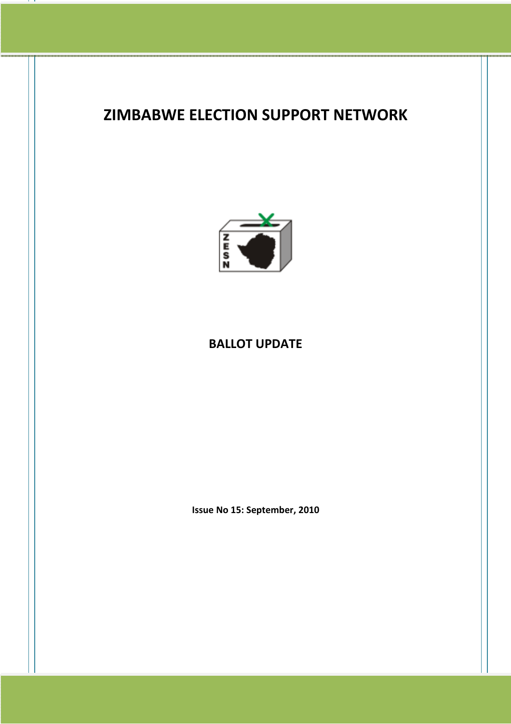## ZIMBABWE ELECTION SUPPORT NETWORK



## BALLOT UPDATE

Issue No 15: September, 2010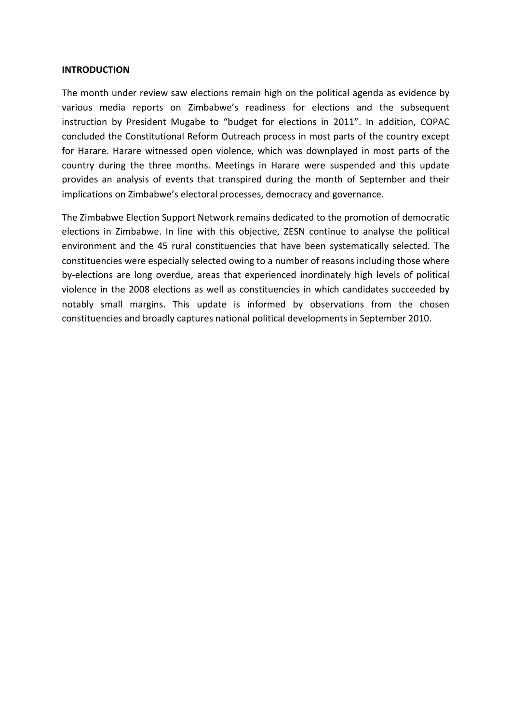## INTRODUCTION

The month under review saw elections remain high on the political agenda as evidence by various media reports on Zimbabwe's readiness for elections and the subsequent instruction by President Mugabe to "budget for elections in 2011". In addition, COPAC concluded the Constitutional Reform Outreach process in most parts of the country except for Harare. Harare witnessed open violence, which was downplayed in most parts of the country during the three months. Meetings in Harare were suspended and this update provides an analysis of events that transpired during the month of September and their implications on Zimbabwe's electoral processes, democracy and governance.

The Zimbabwe Election Support Network remains dedicated to the promotion of democratic elections in Zimbabwe. In line with this objective, ZESN continue to analyse the political environment and the 45 rural constituencies that have been systematically selected. The constituencies were especially selected owing to a number of reasons including those where by-elections are long overdue, areas that experienced inordinately high levels of political violence in the 2008 elections as well as constituencies in which candidates succeeded by notably small margins. This update is informed by observations from the chosen constituencies and broadly captures national political developments in September 2010.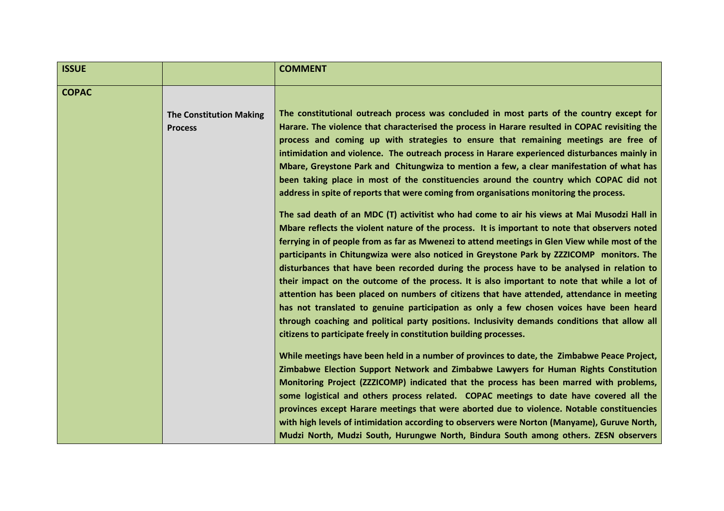| <b>ISSUE</b> |                                                  | <b>COMMENT</b>                                                                                                                                                                                                                                                                                                                                                                                                                                                                                                                                                                                                                                                                                                                                                                                                                                                                                                                                                                                                                                                                                                                                                                                                                                                                                                                                                                                                                                                                                                                                                                                                                                                                                                                                                                                                                                                                                                       |
|--------------|--------------------------------------------------|----------------------------------------------------------------------------------------------------------------------------------------------------------------------------------------------------------------------------------------------------------------------------------------------------------------------------------------------------------------------------------------------------------------------------------------------------------------------------------------------------------------------------------------------------------------------------------------------------------------------------------------------------------------------------------------------------------------------------------------------------------------------------------------------------------------------------------------------------------------------------------------------------------------------------------------------------------------------------------------------------------------------------------------------------------------------------------------------------------------------------------------------------------------------------------------------------------------------------------------------------------------------------------------------------------------------------------------------------------------------------------------------------------------------------------------------------------------------------------------------------------------------------------------------------------------------------------------------------------------------------------------------------------------------------------------------------------------------------------------------------------------------------------------------------------------------------------------------------------------------------------------------------------------------|
| <b>COPAC</b> | <b>The Constitution Making</b><br><b>Process</b> | The constitutional outreach process was concluded in most parts of the country except for<br>Harare. The violence that characterised the process in Harare resulted in COPAC revisiting the<br>process and coming up with strategies to ensure that remaining meetings are free of<br>intimidation and violence. The outreach process in Harare experienced disturbances mainly in<br>Mbare, Greystone Park and Chitungwiza to mention a few, a clear manifestation of what has<br>been taking place in most of the constituencies around the country which COPAC did not<br>address in spite of reports that were coming from organisations monitoring the process.<br>The sad death of an MDC (T) activitist who had come to air his views at Mai Musodzi Hall in<br>Mbare reflects the violent nature of the process. It is important to note that observers noted<br>ferrying in of people from as far as Mwenezi to attend meetings in Glen View while most of the<br>participants in Chitungwiza were also noticed in Greystone Park by ZZZICOMP monitors. The<br>disturbances that have been recorded during the process have to be analysed in relation to<br>their impact on the outcome of the process. It is also important to note that while a lot of<br>attention has been placed on numbers of citizens that have attended, attendance in meeting<br>has not translated to genuine participation as only a few chosen voices have been heard<br>through coaching and political party positions. Inclusivity demands conditions that allow all<br>citizens to participate freely in constitution building processes.<br>While meetings have been held in a number of provinces to date, the Zimbabwe Peace Project,<br>Zimbabwe Election Support Network and Zimbabwe Lawyers for Human Rights Constitution<br>Monitoring Project (ZZZICOMP) indicated that the process has been marred with problems, |
|              |                                                  | some logistical and others process related. COPAC meetings to date have covered all the<br>provinces except Harare meetings that were aborted due to violence. Notable constituencies<br>with high levels of intimidation according to observers were Norton (Manyame), Guruve North,<br>Mudzi North, Mudzi South, Hurungwe North, Bindura South among others. ZESN observers                                                                                                                                                                                                                                                                                                                                                                                                                                                                                                                                                                                                                                                                                                                                                                                                                                                                                                                                                                                                                                                                                                                                                                                                                                                                                                                                                                                                                                                                                                                                        |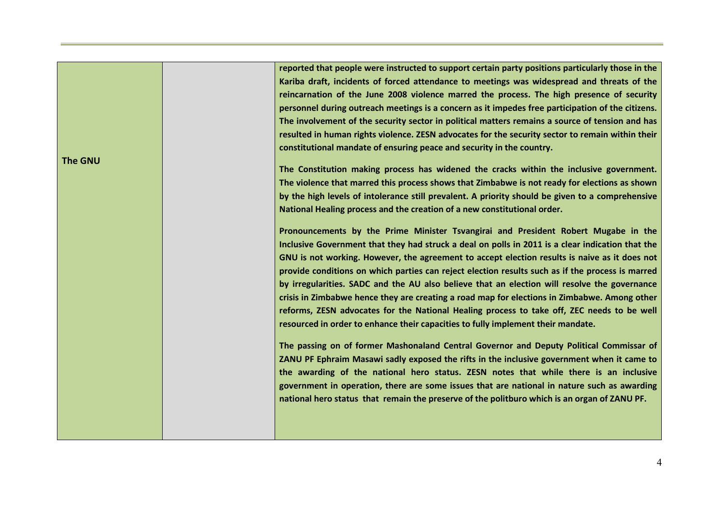|                | reported that people were instructed to support certain party positions particularly those in the |
|----------------|---------------------------------------------------------------------------------------------------|
|                | Kariba draft, incidents of forced attendance to meetings was widespread and threats of the        |
|                | reincarnation of the June 2008 violence marred the process. The high presence of security         |
|                | personnel during outreach meetings is a concern as it impedes free participation of the citizens. |
|                | The involvement of the security sector in political matters remains a source of tension and has   |
|                | resulted in human rights violence. ZESN advocates for the security sector to remain within their  |
|                | constitutional mandate of ensuring peace and security in the country.                             |
| <b>The GNU</b> |                                                                                                   |
|                | The Constitution making process has widened the cracks within the inclusive government.           |
|                | The violence that marred this process shows that Zimbabwe is not ready for elections as shown     |
|                | by the high levels of intolerance still prevalent. A priority should be given to a comprehensive  |
|                | National Healing process and the creation of a new constitutional order.                          |
|                | Pronouncements by the Prime Minister Tsvangirai and President Robert Mugabe in the                |
|                |                                                                                                   |
|                | Inclusive Government that they had struck a deal on polls in 2011 is a clear indication that the  |
|                | GNU is not working. However, the agreement to accept election results is naive as it does not     |
|                | provide conditions on which parties can reject election results such as if the process is marred  |
|                | by irregularities. SADC and the AU also believe that an election will resolve the governance      |
|                | crisis in Zimbabwe hence they are creating a road map for elections in Zimbabwe. Among other      |
|                | reforms, ZESN advocates for the National Healing process to take off, ZEC needs to be well        |
|                | resourced in order to enhance their capacities to fully implement their mandate.                  |
|                | The passing on of former Mashonaland Central Governor and Deputy Political Commissar of           |
|                | ZANU PF Ephraim Masawi sadly exposed the rifts in the inclusive government when it came to        |
|                | the awarding of the national hero status. ZESN notes that while there is an inclusive             |
|                | government in operation, there are some issues that are national in nature such as awarding       |
|                | national hero status that remain the preserve of the politburo which is an organ of ZANU PF.      |
|                |                                                                                                   |
|                |                                                                                                   |
|                |                                                                                                   |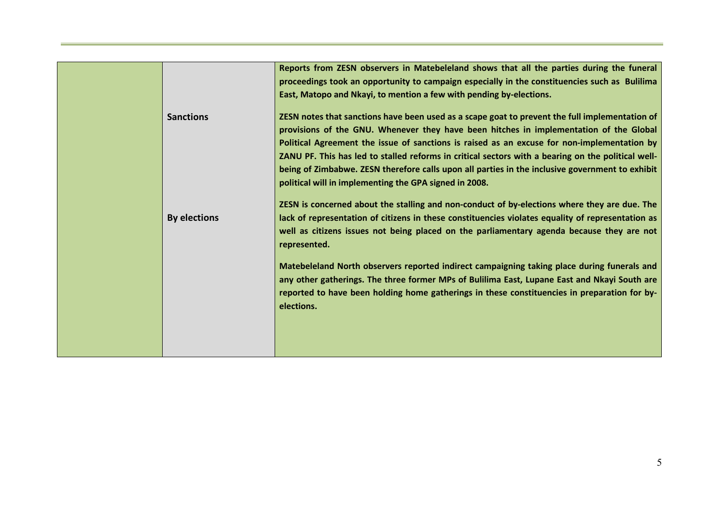|                     | Reports from ZESN observers in Matebeleland shows that all the parties during the funeral<br>proceedings took an opportunity to campaign especially in the constituencies such as Bulilima<br>East, Matopo and Nkayi, to mention a few with pending by-elections.                                         |
|---------------------|-----------------------------------------------------------------------------------------------------------------------------------------------------------------------------------------------------------------------------------------------------------------------------------------------------------|
| <b>Sanctions</b>    | ZESN notes that sanctions have been used as a scape goat to prevent the full implementation of<br>provisions of the GNU. Whenever they have been hitches in implementation of the Global                                                                                                                  |
|                     | Political Agreement the issue of sanctions is raised as an excuse for non-implementation by<br>ZANU PF. This has led to stalled reforms in critical sectors with a bearing on the political well-<br>being of Zimbabwe. ZESN therefore calls upon all parties in the inclusive government to exhibit      |
| <b>By elections</b> | political will in implementing the GPA signed in 2008.<br>ZESN is concerned about the stalling and non-conduct of by-elections where they are due. The<br>lack of representation of citizens in these constituencies violates equality of representation as                                               |
|                     | well as citizens issues not being placed on the parliamentary agenda because they are not<br>represented.                                                                                                                                                                                                 |
|                     | Matebeleland North observers reported indirect campaigning taking place during funerals and<br>any other gatherings. The three former MPs of Bulilima East, Lupane East and Nkayi South are<br>reported to have been holding home gatherings in these constituencies in preparation for by-<br>elections. |
|                     |                                                                                                                                                                                                                                                                                                           |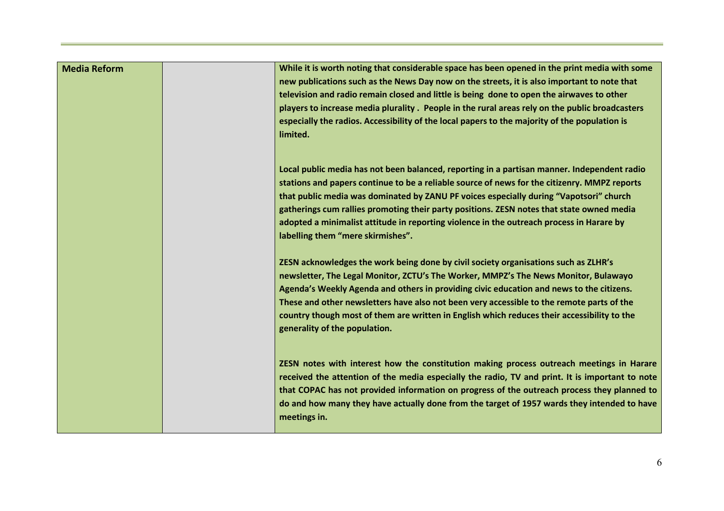| <b>Media Reform</b> | While it is worth noting that considerable space has been opened in the print media with some<br>new publications such as the News Day now on the streets, it is also important to note that<br>television and radio remain closed and little is being done to open the airwaves to other<br>players to increase media plurality . People in the rural areas rely on the public broadcasters<br>especially the radios. Accessibility of the local papers to the majority of the population is<br>limited.           |
|---------------------|---------------------------------------------------------------------------------------------------------------------------------------------------------------------------------------------------------------------------------------------------------------------------------------------------------------------------------------------------------------------------------------------------------------------------------------------------------------------------------------------------------------------|
|                     | Local public media has not been balanced, reporting in a partisan manner. Independent radio<br>stations and papers continue to be a reliable source of news for the citizenry. MMPZ reports<br>that public media was dominated by ZANU PF voices especially during "Vapotsori" church<br>gatherings cum rallies promoting their party positions. ZESN notes that state owned media<br>adopted a minimalist attitude in reporting violence in the outreach process in Harare by<br>labelling them "mere skirmishes". |
|                     | ZESN acknowledges the work being done by civil society organisations such as ZLHR's<br>newsletter, The Legal Monitor, ZCTU's The Worker, MMPZ's The News Monitor, Bulawayo<br>Agenda's Weekly Agenda and others in providing civic education and news to the citizens.<br>These and other newsletters have also not been very accessible to the remote parts of the<br>country though most of them are written in English which reduces their accessibility to the<br>generality of the population.                 |
|                     | ZESN notes with interest how the constitution making process outreach meetings in Harare<br>received the attention of the media especially the radio, TV and print. It is important to note<br>that COPAC has not provided information on progress of the outreach process they planned to<br>do and how many they have actually done from the target of 1957 wards they intended to have<br>meetings in.                                                                                                           |